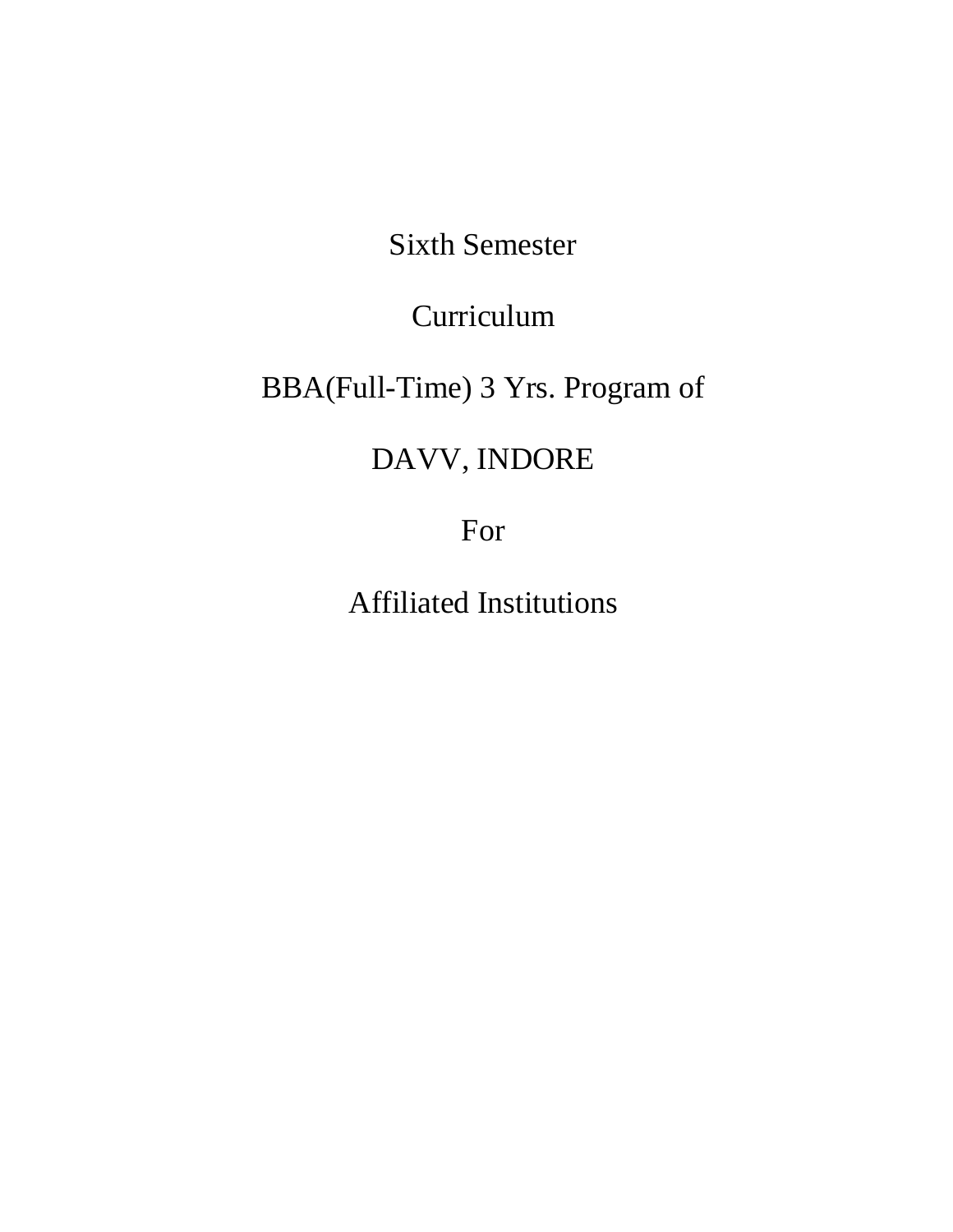Sixth Semester

Curriculum

BBA(Full-Time) 3 Yrs. Program of

DAVV, INDORE

For

Affiliated Institutions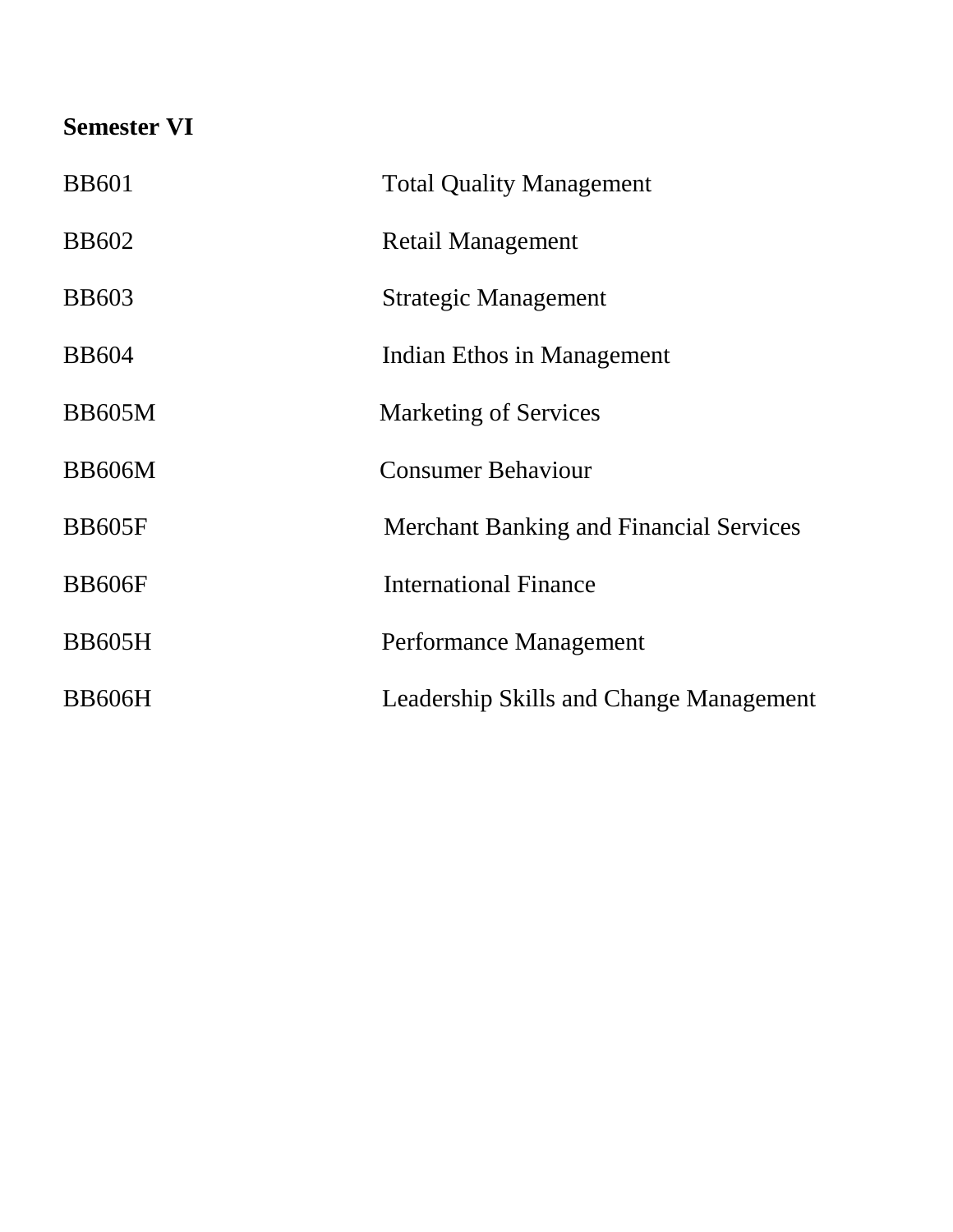# **Semester VI**

| <b>BB601</b>  | <b>Total Quality Management</b>                |
|---------------|------------------------------------------------|
| <b>BB602</b>  | Retail Management                              |
| <b>BB603</b>  | Strategic Management                           |
| <b>BB604</b>  | Indian Ethos in Management                     |
| <b>BB605M</b> | <b>Marketing of Services</b>                   |
| <b>BB606M</b> | <b>Consumer Behaviour</b>                      |
| <b>BB605F</b> | <b>Merchant Banking and Financial Services</b> |
| <b>BB606F</b> | <b>International Finance</b>                   |
| <b>BB605H</b> | Performance Management                         |
| <b>BB606H</b> | Leadership Skills and Change Management        |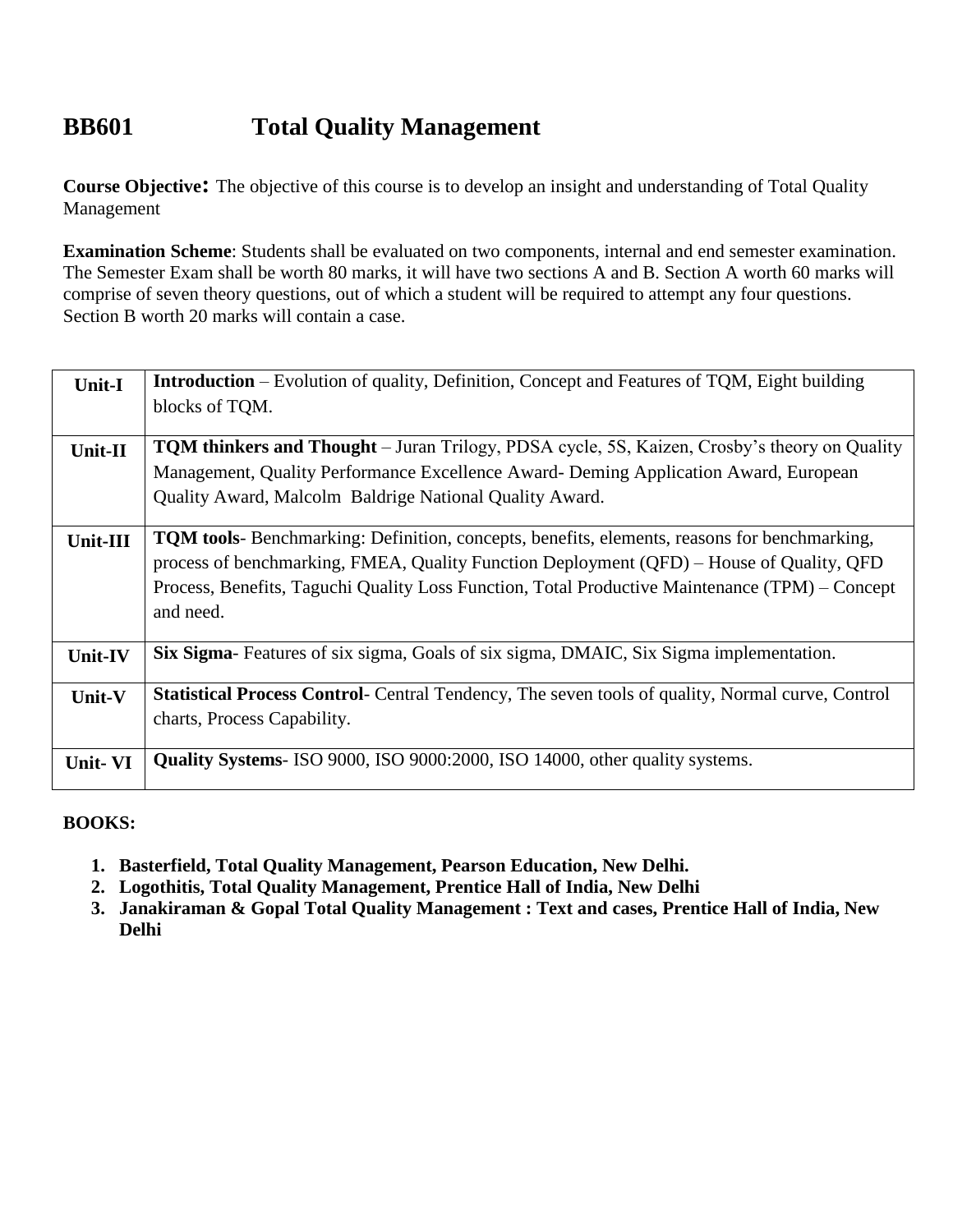## **BB601 Total Quality Management**

**Course Objective:** The objective of this course is to develop an insight and understanding of Total Quality Management

**Examination Scheme**: Students shall be evaluated on two components, internal and end semester examination. The Semester Exam shall be worth 80 marks, it will have two sections A and B. Section A worth 60 marks will comprise of seven theory questions, out of which a student will be required to attempt any four questions. Section B worth 20 marks will contain a case.

| Unit-I   | <b>Introduction</b> – Evolution of quality, Definition, Concept and Features of TQM, Eight building     |
|----------|---------------------------------------------------------------------------------------------------------|
|          | blocks of TQM.                                                                                          |
|          |                                                                                                         |
| Unit-II  | <b>TQM thinkers and Thought</b> – Juran Trilogy, PDSA cycle, 5S, Kaizen, Crosby's theory on Quality     |
|          | Management, Quality Performance Excellence Award- Deming Application Award, European                    |
|          | Quality Award, Malcolm Baldrige National Quality Award.                                                 |
|          |                                                                                                         |
| Unit-III | <b>TQM tools-</b> Benchmarking: Definition, concepts, benefits, elements, reasons for benchmarking,     |
|          | process of benchmarking, FMEA, Quality Function Deployment (QFD) – House of Quality, QFD                |
|          | Process, Benefits, Taguchi Quality Loss Function, Total Productive Maintenance (TPM) – Concept          |
|          | and need.                                                                                               |
|          |                                                                                                         |
| Unit-IV  | <b>Six Sigma</b> -Features of six sigma, Goals of six sigma, DMAIC, Six Sigma implementation.           |
|          |                                                                                                         |
| Unit-V   | <b>Statistical Process Control-</b> Central Tendency, The seven tools of quality, Normal curve, Control |
|          | charts, Process Capability.                                                                             |
|          |                                                                                                         |
| Unit-VI  | Quality Systems-ISO 9000, ISO 9000:2000, ISO 14000, other quality systems.                              |
|          |                                                                                                         |

- **1. Basterfield, Total Quality Management, Pearson Education, New Delhi.**
- **2. Logothitis, Total Quality Management, Prentice Hall of India, New Delhi**
- **3. Janakiraman & Gopal Total Quality Management : Text and cases, Prentice Hall of India, New Delhi**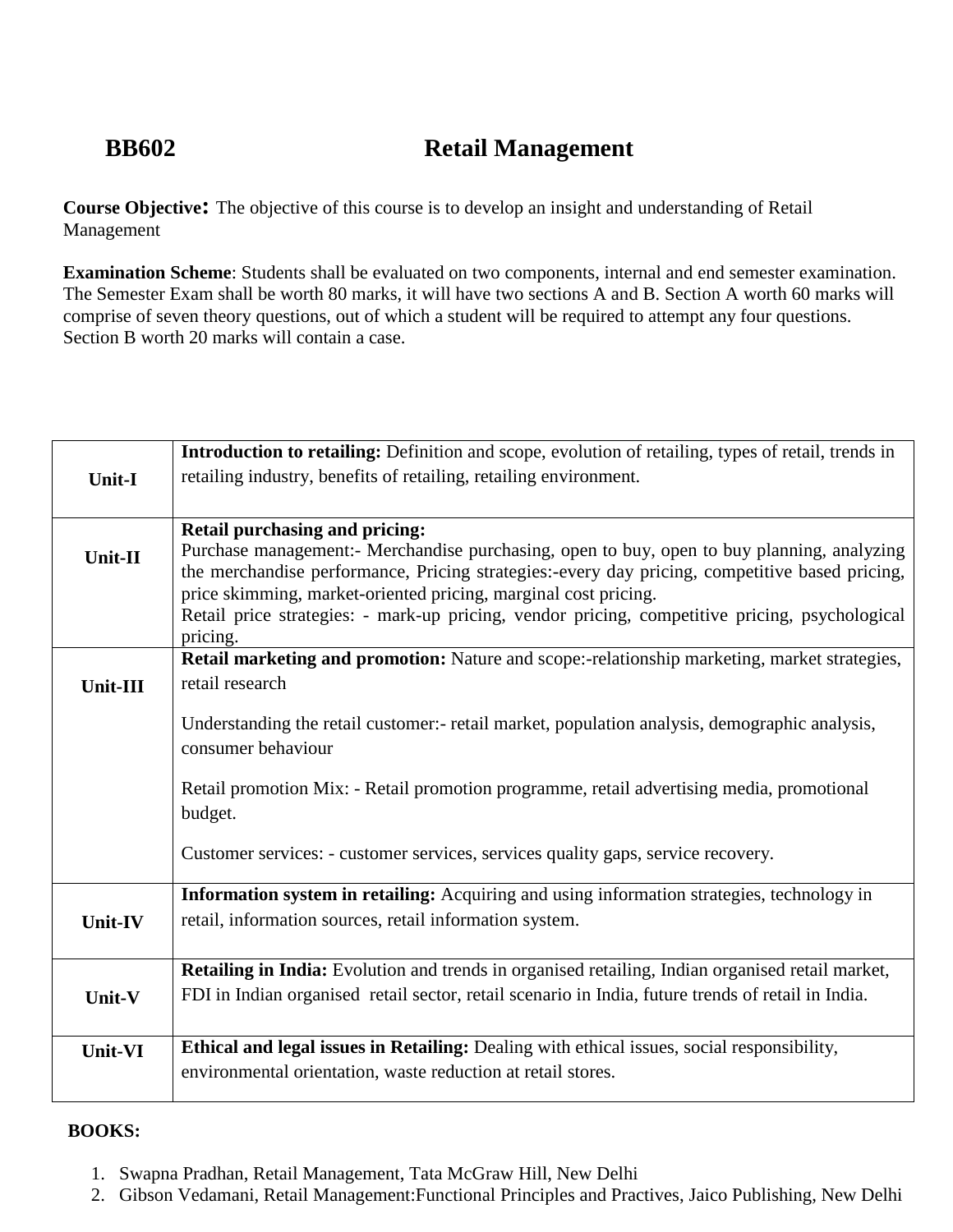# **BB602** Retail Management

**Course Objective:** The objective of this course is to develop an insight and understanding of Retail Management

**Examination Scheme**: Students shall be evaluated on two components, internal and end semester examination. The Semester Exam shall be worth 80 marks, it will have two sections A and B. Section A worth 60 marks will comprise of seven theory questions, out of which a student will be required to attempt any four questions. Section B worth 20 marks will contain a case.

|                | Introduction to retailing: Definition and scope, evolution of retailing, types of retail, trends in                                 |
|----------------|-------------------------------------------------------------------------------------------------------------------------------------|
| Unit-I         | retailing industry, benefits of retailing, retailing environment.                                                                   |
|                |                                                                                                                                     |
|                | <b>Retail purchasing and pricing:</b><br>Purchase management:- Merchandise purchasing, open to buy, open to buy planning, analyzing |
| Unit-II        | the merchandise performance, Pricing strategies:-every day pricing, competitive based pricing,                                      |
|                | price skimming, market-oriented pricing, marginal cost pricing.                                                                     |
|                | Retail price strategies: - mark-up pricing, vendor pricing, competitive pricing, psychological                                      |
|                | pricing.                                                                                                                            |
|                | Retail marketing and promotion: Nature and scope:-relationship marketing, market strategies,                                        |
| Unit-III       | retail research                                                                                                                     |
|                |                                                                                                                                     |
|                | Understanding the retail customer:- retail market, population analysis, demographic analysis,                                       |
|                | consumer behaviour                                                                                                                  |
|                | Retail promotion Mix: - Retail promotion programme, retail advertising media, promotional                                           |
|                | budget.                                                                                                                             |
|                |                                                                                                                                     |
|                | Customer services: - customer services, services quality gaps, service recovery.                                                    |
|                | Information system in retailing: Acquiring and using information strategies, technology in                                          |
| <b>Unit-IV</b> | retail, information sources, retail information system.                                                                             |
|                |                                                                                                                                     |
|                | Retailing in India: Evolution and trends in organised retailing, Indian organised retail market,                                    |
| Unit-V         | FDI in Indian organised retail sector, retail scenario in India, future trends of retail in India.                                  |
|                |                                                                                                                                     |
| Unit-VI        | Ethical and legal issues in Retailing: Dealing with ethical issues, social responsibility,                                          |
|                | environmental orientation, waste reduction at retail stores.                                                                        |
|                |                                                                                                                                     |

- 1. Swapna Pradhan, Retail Management, Tata McGraw Hill, New Delhi
- 2. Gibson Vedamani, Retail Management:Functional Principles and Practives, Jaico Publishing, New Delhi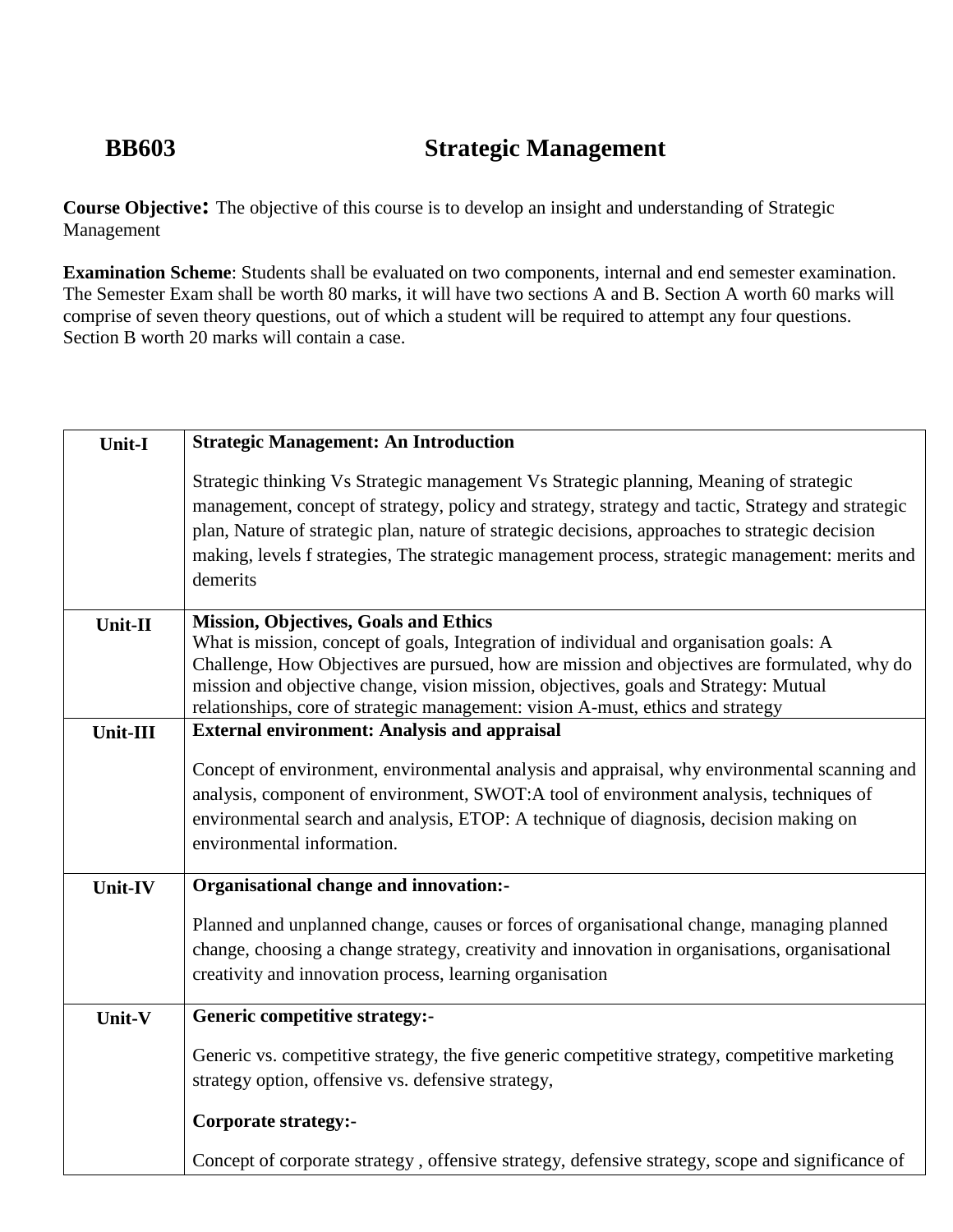# **BB603 Strategic Management**

**Course Objective:** The objective of this course is to develop an insight and understanding of Strategic Management

**Examination Scheme**: Students shall be evaluated on two components, internal and end semester examination. The Semester Exam shall be worth 80 marks, it will have two sections A and B. Section A worth 60 marks will comprise of seven theory questions, out of which a student will be required to attempt any four questions. Section B worth 20 marks will contain a case.

| Unit-I   | <b>Strategic Management: An Introduction</b>                                                                                                                                                                                                                                                                                                                                                                      |
|----------|-------------------------------------------------------------------------------------------------------------------------------------------------------------------------------------------------------------------------------------------------------------------------------------------------------------------------------------------------------------------------------------------------------------------|
|          | Strategic thinking Vs Strategic management Vs Strategic planning, Meaning of strategic<br>management, concept of strategy, policy and strategy, strategy and tactic, Strategy and strategic<br>plan, Nature of strategic plan, nature of strategic decisions, approaches to strategic decision<br>making, levels f strategies, The strategic management process, strategic management: merits and<br>demerits     |
| Unit-II  | <b>Mission, Objectives, Goals and Ethics</b><br>What is mission, concept of goals, Integration of individual and organisation goals: A<br>Challenge, How Objectives are pursued, how are mission and objectives are formulated, why do<br>mission and objective change, vision mission, objectives, goals and Strategy: Mutual<br>relationships, core of strategic management: vision A-must, ethics and strategy |
| Unit-III | <b>External environment: Analysis and appraisal</b>                                                                                                                                                                                                                                                                                                                                                               |
|          | Concept of environment, environmental analysis and appraisal, why environmental scanning and<br>analysis, component of environment, SWOT:A tool of environment analysis, techniques of<br>environmental search and analysis, ETOP: A technique of diagnosis, decision making on<br>environmental information.                                                                                                     |
| Unit-IV  | Organisational change and innovation:-                                                                                                                                                                                                                                                                                                                                                                            |
|          | Planned and unplanned change, causes or forces of organisational change, managing planned<br>change, choosing a change strategy, creativity and innovation in organisations, organisational<br>creativity and innovation process, learning organisation                                                                                                                                                           |
| Unit-V   | <b>Generic competitive strategy:-</b>                                                                                                                                                                                                                                                                                                                                                                             |
|          | Generic vs. competitive strategy, the five generic competitive strategy, competitive marketing<br>strategy option, offensive vs. defensive strategy,                                                                                                                                                                                                                                                              |
|          | <b>Corporate strategy:-</b>                                                                                                                                                                                                                                                                                                                                                                                       |
|          | Concept of corporate strategy, offensive strategy, defensive strategy, scope and significance of                                                                                                                                                                                                                                                                                                                  |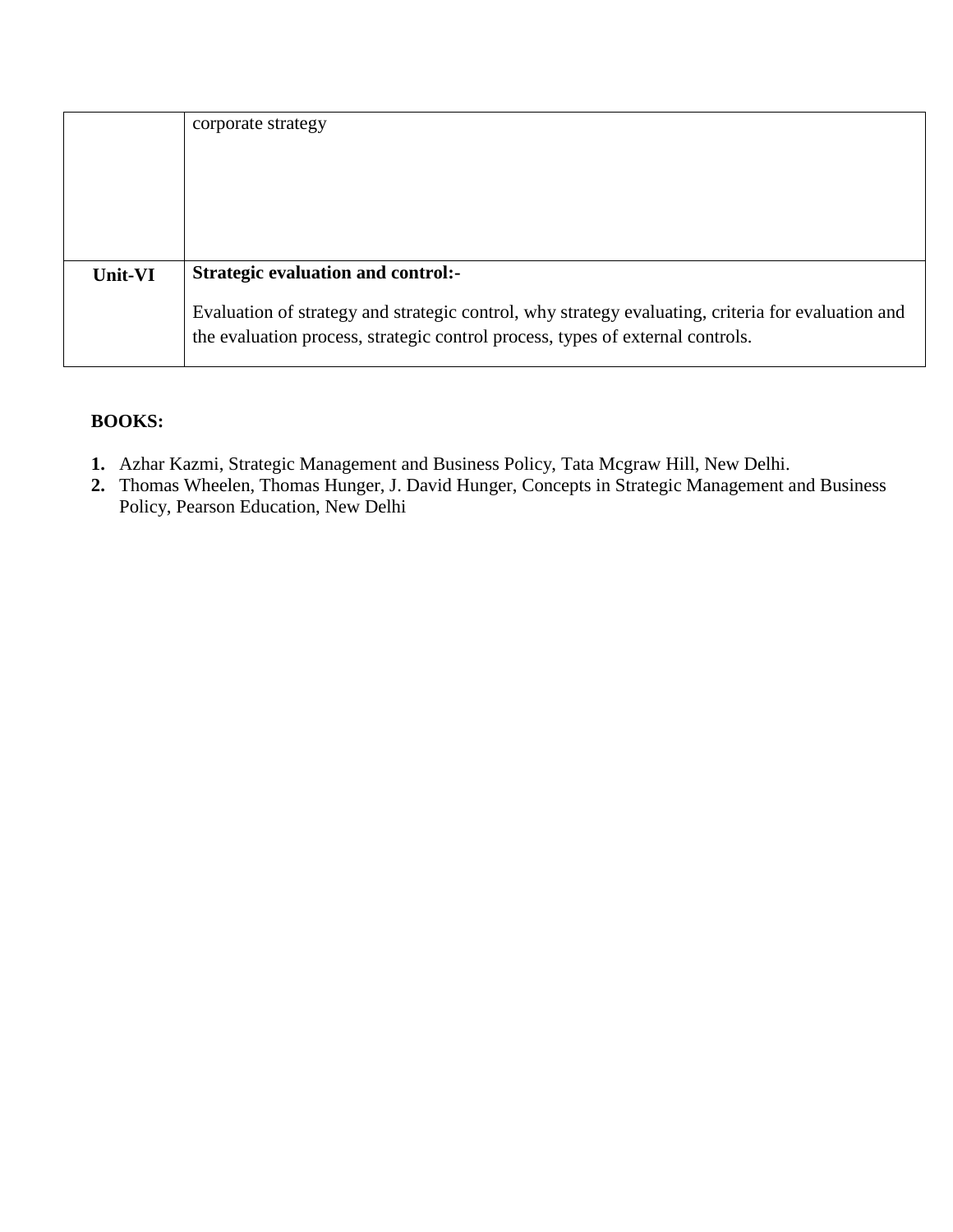|         | corporate strategy                                                                                 |
|---------|----------------------------------------------------------------------------------------------------|
|         |                                                                                                    |
|         |                                                                                                    |
|         |                                                                                                    |
|         |                                                                                                    |
|         |                                                                                                    |
|         |                                                                                                    |
|         | Evaluation of strategy and strategic control, why strategy evaluating, criteria for evaluation and |
|         | the evaluation process, strategic control process, types of external controls.                     |
| Unit-VI | <b>Strategic evaluation and control:-</b>                                                          |

- **1.** Azhar Kazmi, Strategic Management and Business Policy, Tata Mcgraw Hill, New Delhi.
- **2.** Thomas Wheelen, Thomas Hunger, J. David Hunger, Concepts in Strategic Management and Business Policy, Pearson Education, New Delhi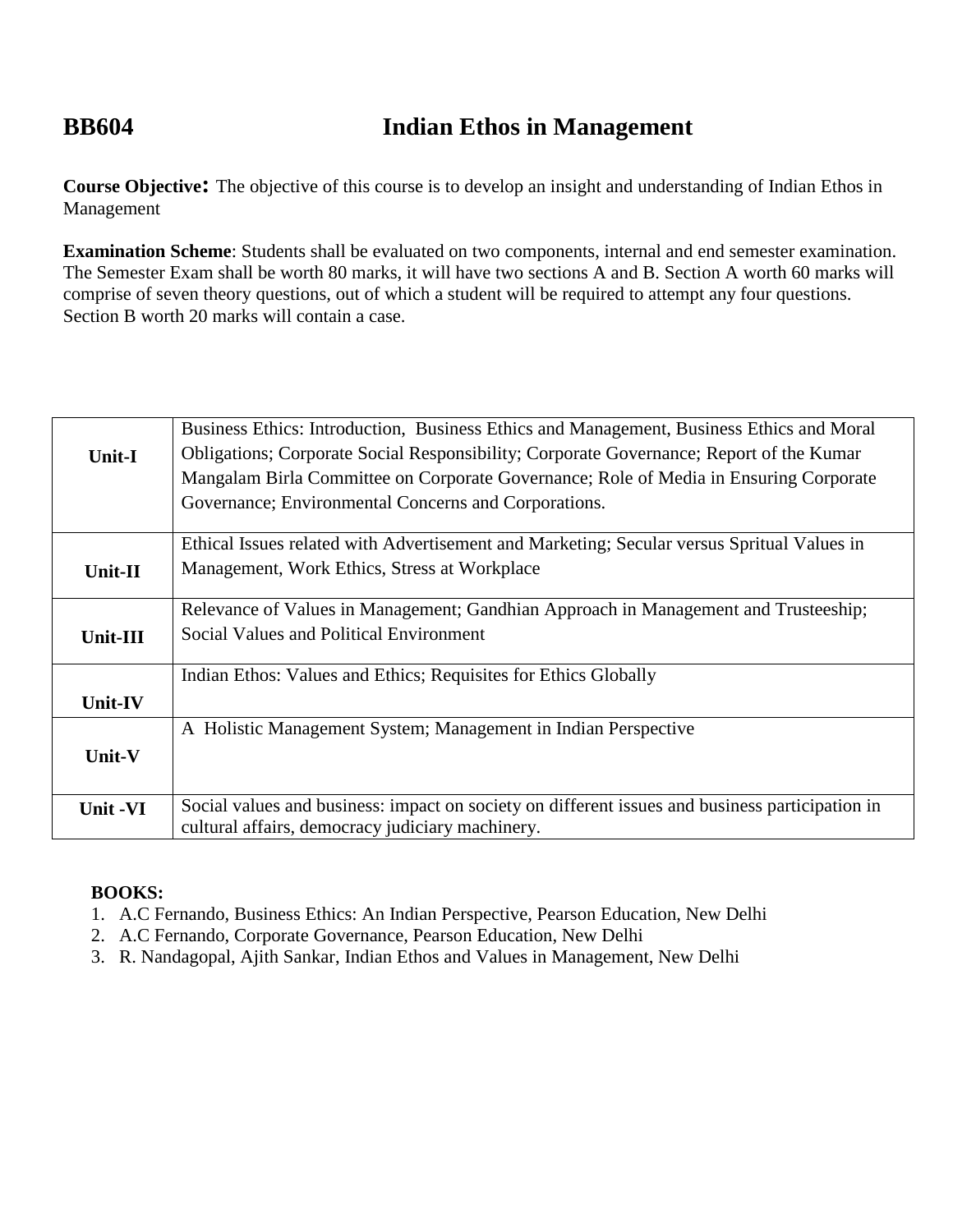# **BB604 Indian Ethos in Management**

**Course Objective:** The objective of this course is to develop an insight and understanding of Indian Ethos in Management

**Examination Scheme**: Students shall be evaluated on two components, internal and end semester examination. The Semester Exam shall be worth 80 marks, it will have two sections A and B. Section A worth 60 marks will comprise of seven theory questions, out of which a student will be required to attempt any four questions. Section B worth 20 marks will contain a case.

|               | Business Ethics: Introduction, Business Ethics and Management, Business Ethics and Moral<br>Obligations; Corporate Social Responsibility; Corporate Governance; Report of the Kumar |
|---------------|-------------------------------------------------------------------------------------------------------------------------------------------------------------------------------------|
| <b>Unit-I</b> | Mangalam Birla Committee on Corporate Governance; Role of Media in Ensuring Corporate                                                                                               |
|               | Governance; Environmental Concerns and Corporations.                                                                                                                                |
|               |                                                                                                                                                                                     |
|               | Ethical Issues related with Advertisement and Marketing; Secular versus Spritual Values in                                                                                          |
| Unit-II       | Management, Work Ethics, Stress at Workplace                                                                                                                                        |
|               |                                                                                                                                                                                     |
|               | Relevance of Values in Management; Gandhian Approach in Management and Trusteeship;                                                                                                 |
| Unit-III      | Social Values and Political Environment                                                                                                                                             |
|               | Indian Ethos: Values and Ethics; Requisites for Ethics Globally                                                                                                                     |
| Unit-IV       |                                                                                                                                                                                     |
|               | A Holistic Management System; Management in Indian Perspective                                                                                                                      |
| Unit-V        |                                                                                                                                                                                     |
|               |                                                                                                                                                                                     |
| Unit -VI      | Social values and business: impact on society on different issues and business participation in                                                                                     |
|               | cultural affairs, democracy judiciary machinery.                                                                                                                                    |

- 1. A.C Fernando, Business Ethics: An Indian Perspective, Pearson Education, New Delhi
- 2. A.C Fernando, Corporate Governance, Pearson Education, New Delhi
- 3. R. Nandagopal, Ajith Sankar, Indian Ethos and Values in Management, New Delhi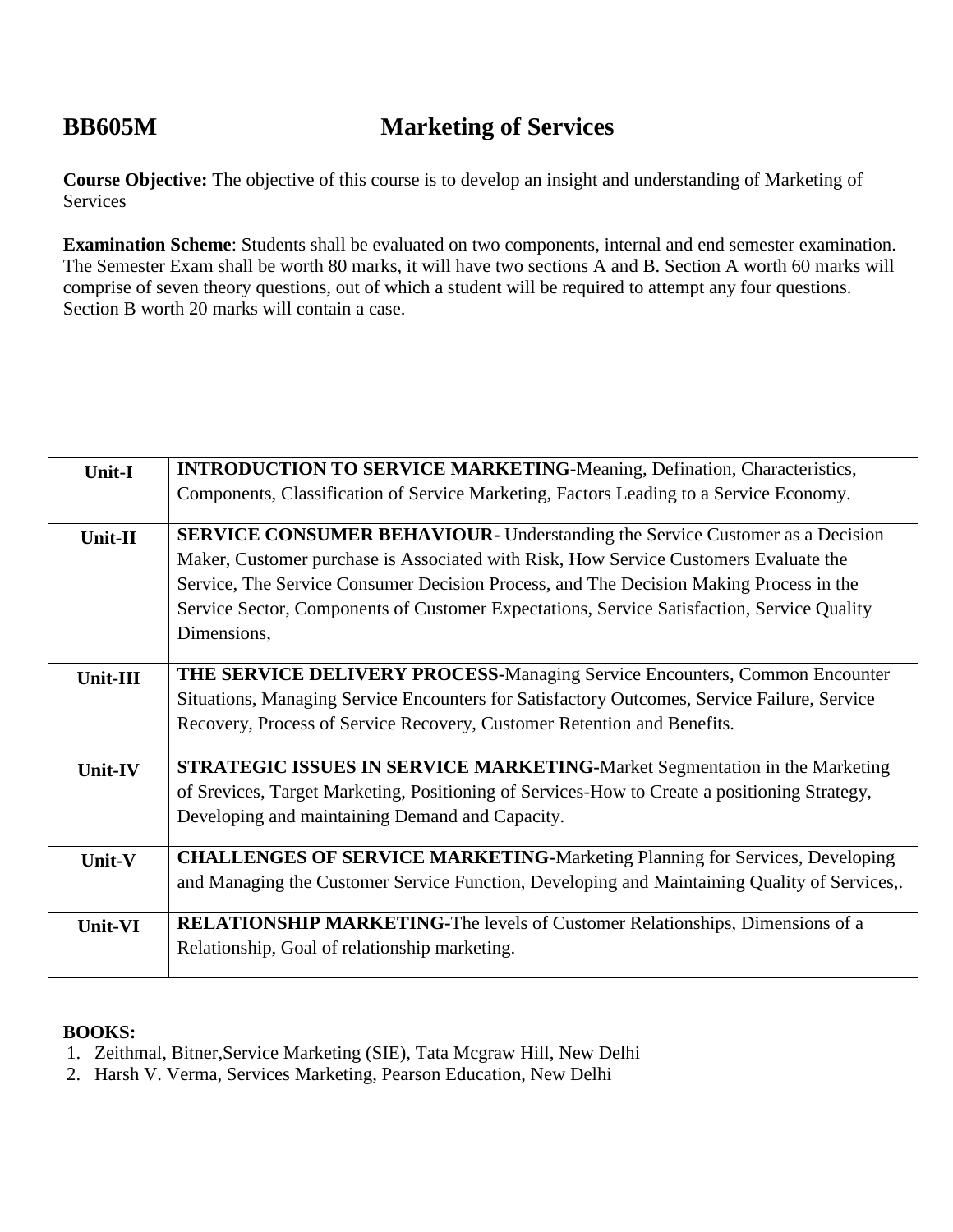## **BB605M Marketing of Services**

**Course Objective:** The objective of this course is to develop an insight and understanding of Marketing of **Services** 

**Examination Scheme**: Students shall be evaluated on two components, internal and end semester examination. The Semester Exam shall be worth 80 marks, it will have two sections A and B. Section A worth 60 marks will comprise of seven theory questions, out of which a student will be required to attempt any four questions. Section B worth 20 marks will contain a case.

| Unit-I   | <b>INTRODUCTION TO SERVICE MARKETING-Meaning, Defination, Characteristics,</b>               |
|----------|----------------------------------------------------------------------------------------------|
|          | Components, Classification of Service Marketing, Factors Leading to a Service Economy.       |
| Unit-II  | <b>SERVICE CONSUMER BEHAVIOUR-</b> Understanding the Service Customer as a Decision          |
|          | Maker, Customer purchase is Associated with Risk, How Service Customers Evaluate the         |
|          | Service, The Service Consumer Decision Process, and The Decision Making Process in the       |
|          | Service Sector, Components of Customer Expectations, Service Satisfaction, Service Quality   |
|          | Dimensions,                                                                                  |
| Unit-III | THE SERVICE DELIVERY PROCESS-Managing Service Encounters, Common Encounter                   |
|          | Situations, Managing Service Encounters for Satisfactory Outcomes, Service Failure, Service  |
|          | Recovery, Process of Service Recovery, Customer Retention and Benefits.                      |
|          |                                                                                              |
| Unit-IV  | STRATEGIC ISSUES IN SERVICE MARKETING-Market Segmentation in the Marketing                   |
|          | of Srevices, Target Marketing, Positioning of Services-How to Create a positioning Strategy, |
|          | Developing and maintaining Demand and Capacity.                                              |
| Unit-V   | <b>CHALLENGES OF SERVICE MARKETING-Marketing Planning for Services, Developing</b>           |
|          | and Managing the Customer Service Function, Developing and Maintaining Quality of Services,. |
| Unit-VI  | RELATIONSHIP MARKETING-The levels of Customer Relationships, Dimensions of a                 |
|          | Relationship, Goal of relationship marketing.                                                |
|          |                                                                                              |

- 1. Zeithmal, Bitner,Service Marketing (SIE), Tata Mcgraw Hill, New Delhi
- 2. Harsh V. Verma, Services Marketing, Pearson Education, New Delhi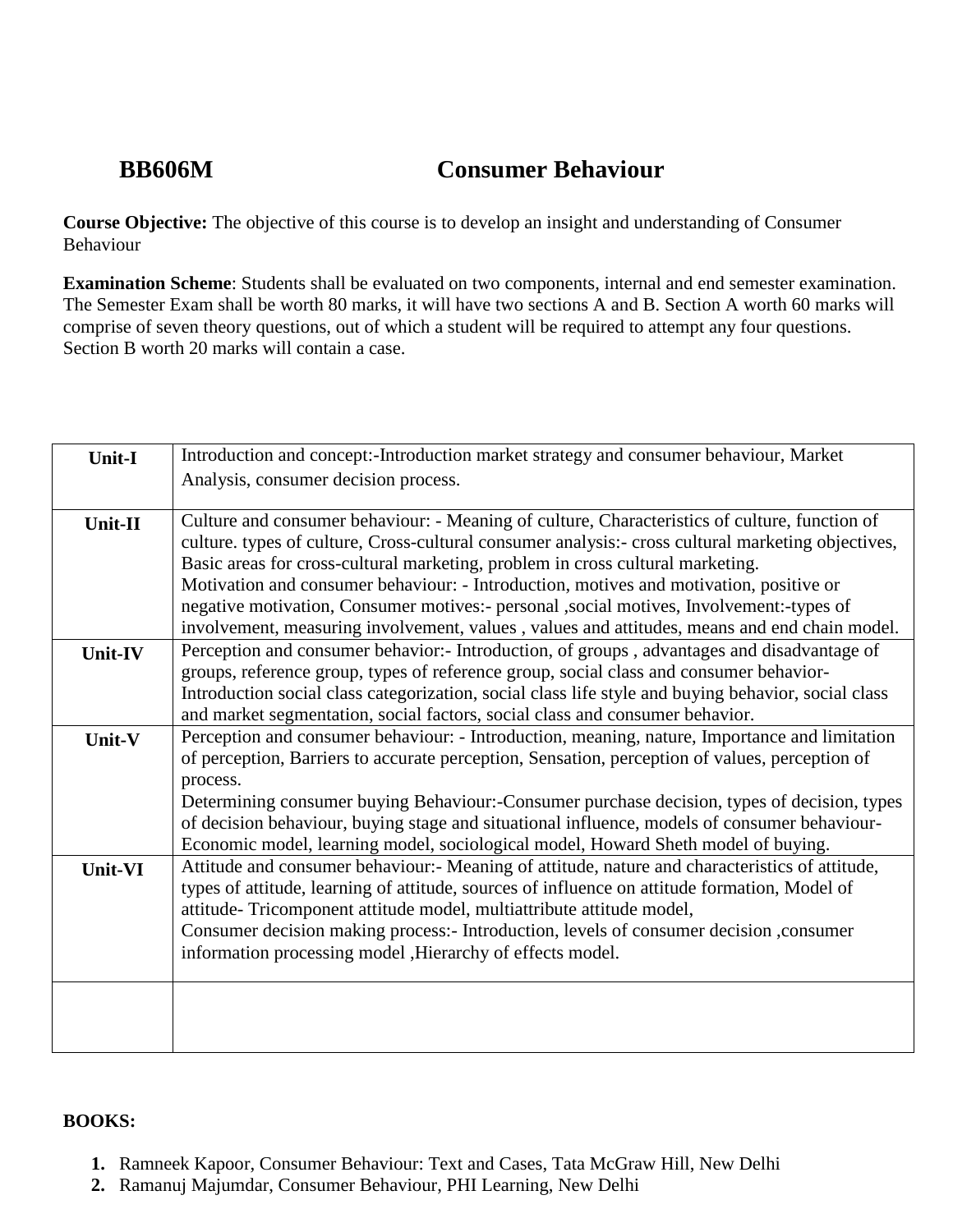## **BB606M Consumer Behaviour**

**Course Objective:** The objective of this course is to develop an insight and understanding of Consumer Behaviour

**Examination Scheme**: Students shall be evaluated on two components, internal and end semester examination. The Semester Exam shall be worth 80 marks, it will have two sections A and B. Section A worth 60 marks will comprise of seven theory questions, out of which a student will be required to attempt any four questions. Section B worth 20 marks will contain a case.

| Unit-I         | Introduction and concept:-Introduction market strategy and consumer behaviour, Market                                                                                                |
|----------------|--------------------------------------------------------------------------------------------------------------------------------------------------------------------------------------|
|                | Analysis, consumer decision process.                                                                                                                                                 |
|                |                                                                                                                                                                                      |
| Unit-II        | Culture and consumer behaviour: - Meaning of culture, Characteristics of culture, function of                                                                                        |
|                | culture. types of culture, Cross-cultural consumer analysis:- cross cultural marketing objectives,                                                                                   |
|                | Basic areas for cross-cultural marketing, problem in cross cultural marketing.                                                                                                       |
|                | Motivation and consumer behaviour: - Introduction, motives and motivation, positive or                                                                                               |
|                | negative motivation, Consumer motives:- personal ,social motives, Involvement:-types of                                                                                              |
|                | involvement, measuring involvement, values, values and attitudes, means and end chain model.                                                                                         |
| <b>Unit-IV</b> | Perception and consumer behavior:- Introduction, of groups, advantages and disadvantage of<br>groups, reference group, types of reference group, social class and consumer behavior- |
|                | Introduction social class categorization, social class life style and buying behavior, social class                                                                                  |
|                | and market segmentation, social factors, social class and consumer behavior.                                                                                                         |
| Unit-V         | Perception and consumer behaviour: - Introduction, meaning, nature, Importance and limitation                                                                                        |
|                | of perception, Barriers to accurate perception, Sensation, perception of values, perception of                                                                                       |
|                | process.                                                                                                                                                                             |
|                | Determining consumer buying Behaviour:-Consumer purchase decision, types of decision, types                                                                                          |
|                | of decision behaviour, buying stage and situational influence, models of consumer behaviour-                                                                                         |
|                | Economic model, learning model, sociological model, Howard Sheth model of buying.                                                                                                    |
| Unit-VI        | Attitude and consumer behaviour:- Meaning of attitude, nature and characteristics of attitude,                                                                                       |
|                | types of attitude, learning of attitude, sources of influence on attitude formation, Model of                                                                                        |
|                | attitude-Tricomponent attitude model, multiattribute attitude model,                                                                                                                 |
|                | Consumer decision making process:- Introduction, levels of consumer decision ,consumer                                                                                               |
|                | information processing model , Hierarchy of effects model.                                                                                                                           |
|                |                                                                                                                                                                                      |
|                |                                                                                                                                                                                      |
|                |                                                                                                                                                                                      |
|                |                                                                                                                                                                                      |

- **1.** Ramneek Kapoor, Consumer Behaviour: Text and Cases, Tata McGraw Hill, New Delhi
- **2.** Ramanuj Majumdar, Consumer Behaviour, PHI Learning, New Delhi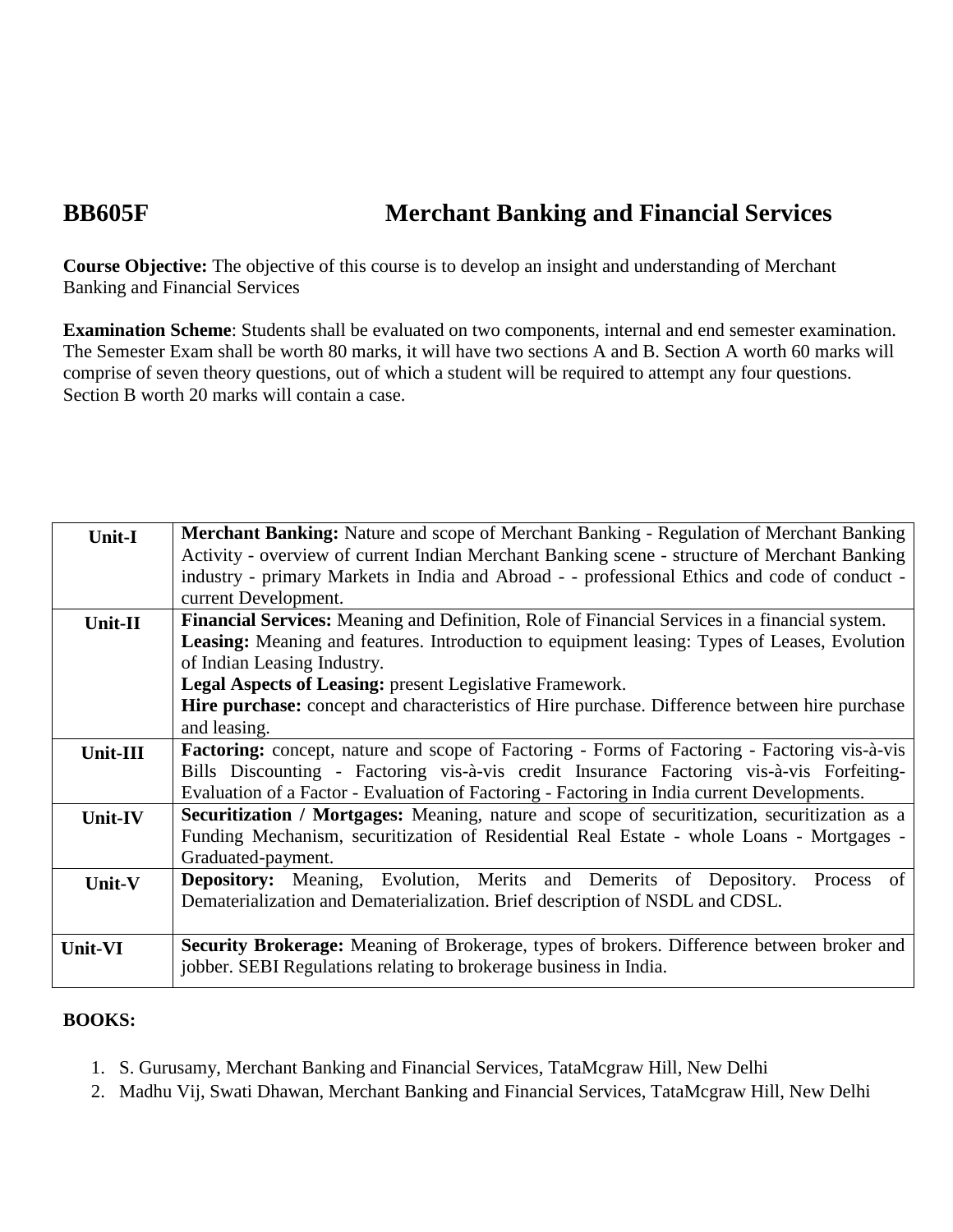# **BB605F Merchant Banking and Financial Services**

**Course Objective:** The objective of this course is to develop an insight and understanding of Merchant Banking and Financial Services

**Examination Scheme**: Students shall be evaluated on two components, internal and end semester examination. The Semester Exam shall be worth 80 marks, it will have two sections A and B. Section A worth 60 marks will comprise of seven theory questions, out of which a student will be required to attempt any four questions. Section B worth 20 marks will contain a case.

| <b>Unit-I</b>  | <b>Merchant Banking:</b> Nature and scope of Merchant Banking - Regulation of Merchant Banking      |
|----------------|-----------------------------------------------------------------------------------------------------|
|                | Activity - overview of current Indian Merchant Banking scene - structure of Merchant Banking        |
|                | industry - primary Markets in India and Abroad - - professional Ethics and code of conduct -        |
|                | current Development.                                                                                |
| $Unit-II$      | Financial Services: Meaning and Definition, Role of Financial Services in a financial system.       |
|                | <b>Leasing:</b> Meaning and features. Introduction to equipment leasing: Types of Leases, Evolution |
|                | of Indian Leasing Industry.                                                                         |
|                | Legal Aspects of Leasing: present Legislative Framework.                                            |
|                | Hire purchase: concept and characteristics of Hire purchase. Difference between hire purchase       |
|                | and leasing.                                                                                        |
| Unit-III       | Factoring: concept, nature and scope of Factoring - Forms of Factoring - Factoring vis-à-vis        |
|                | Bills Discounting - Factoring vis-à-vis credit Insurance Factoring vis-à-vis Forfeiting-            |
|                | Evaluation of a Factor - Evaluation of Factoring - Factoring in India current Developments.         |
| Unit-IV        | Securitization / Mortgages: Meaning, nature and scope of securitization, securitization as a        |
|                | Funding Mechanism, securitization of Residential Real Estate - whole Loans - Mortgages -            |
|                | Graduated-payment.                                                                                  |
| Unit-V         | <b>Depository:</b> Meaning, Evolution, Merits and Demerits of Depository.<br>Process of             |
|                | Dematerialization and Dematerialization. Brief description of NSDL and CDSL.                        |
|                |                                                                                                     |
| <b>Unit-VI</b> | <b>Security Brokerage:</b> Meaning of Brokerage, types of brokers. Difference between broker and    |
|                | jobber. SEBI Regulations relating to brokerage business in India.                                   |

- 1. S. Gurusamy, Merchant Banking and Financial Services, TataMcgraw Hill, New Delhi
- 2. Madhu Vij, Swati Dhawan, Merchant Banking and Financial Services, TataMcgraw Hill, New Delhi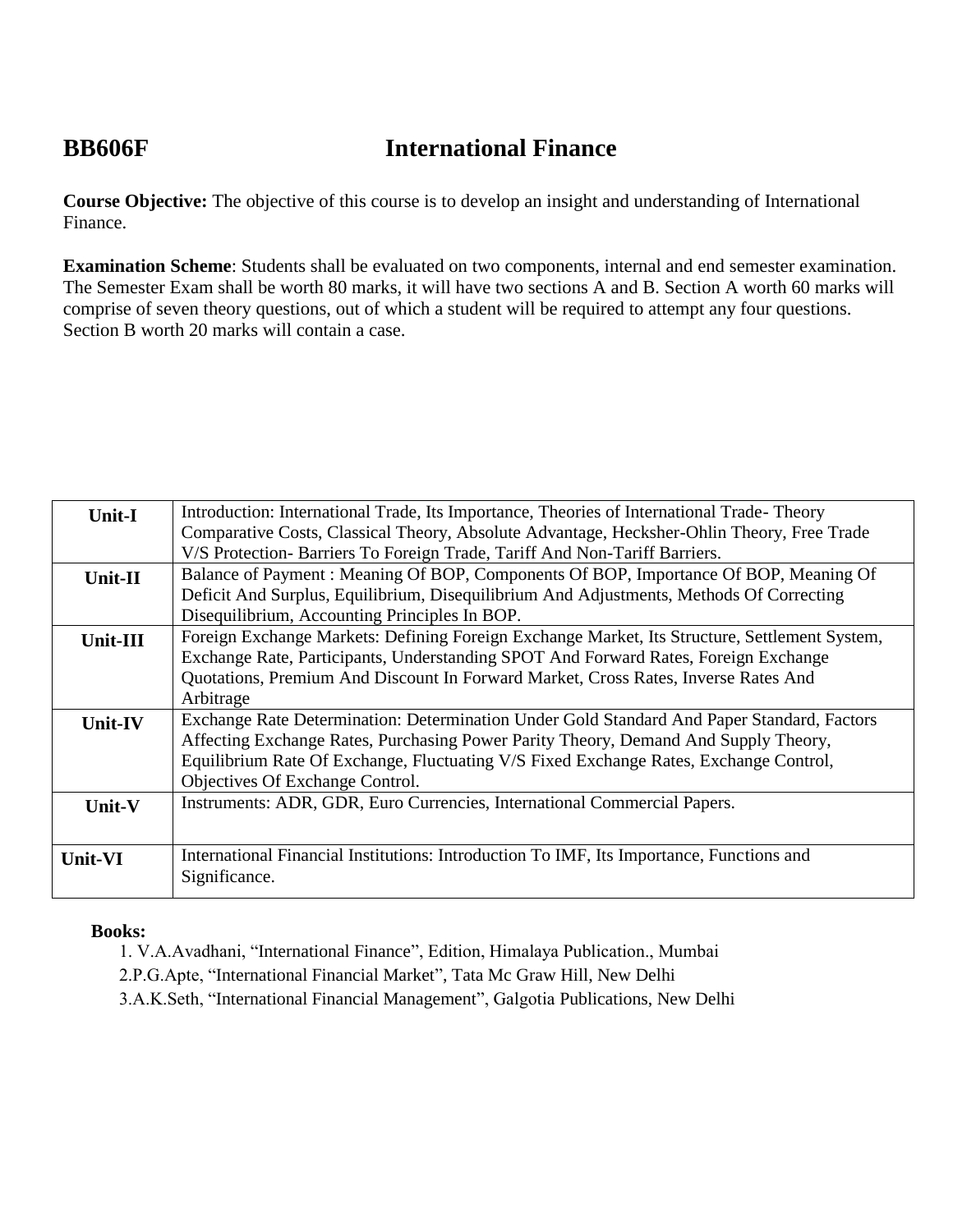# **BB606F International Finance**

**Course Objective:** The objective of this course is to develop an insight and understanding of International Finance.

**Examination Scheme**: Students shall be evaluated on two components, internal and end semester examination. The Semester Exam shall be worth 80 marks, it will have two sections A and B. Section A worth 60 marks will comprise of seven theory questions, out of which a student will be required to attempt any four questions. Section B worth 20 marks will contain a case.

| Unit-I   | Introduction: International Trade, Its Importance, Theories of International Trade-Theory     |
|----------|-----------------------------------------------------------------------------------------------|
|          | Comparative Costs, Classical Theory, Absolute Advantage, Hecksher-Ohlin Theory, Free Trade    |
|          | V/S Protection- Barriers To Foreign Trade, Tariff And Non-Tariff Barriers.                    |
| Unit-II  | Balance of Payment: Meaning Of BOP, Components Of BOP, Importance Of BOP, Meaning Of          |
|          | Deficit And Surplus, Equilibrium, Disequilibrium And Adjustments, Methods Of Correcting       |
|          | Disequilibrium, Accounting Principles In BOP.                                                 |
| Unit-III | Foreign Exchange Markets: Defining Foreign Exchange Market, Its Structure, Settlement System, |
|          | Exchange Rate, Participants, Understanding SPOT And Forward Rates, Foreign Exchange           |
|          | Quotations, Premium And Discount In Forward Market, Cross Rates, Inverse Rates And            |
|          | Arbitrage                                                                                     |
| Unit-IV  | Exchange Rate Determination: Determination Under Gold Standard And Paper Standard, Factors    |
|          | Affecting Exchange Rates, Purchasing Power Parity Theory, Demand And Supply Theory,           |
|          | Equilibrium Rate Of Exchange, Fluctuating V/S Fixed Exchange Rates, Exchange Control,         |
|          | Objectives Of Exchange Control.                                                               |
| Unit-V   | Instruments: ADR, GDR, Euro Currencies, International Commercial Papers.                      |
|          |                                                                                               |
|          |                                                                                               |
| Unit-VI  | International Financial Institutions: Introduction To IMF, Its Importance, Functions and      |
|          | Significance.                                                                                 |

## **Books:**

1. V.A.Avadhani, "International Finance", Edition, Himalaya Publication., Mumbai

2.P.G.Apte, "International Financial Market", Tata Mc Graw Hill, New Delhi

3.A.K.Seth, "International Financial Management", Galgotia Publications, New Delhi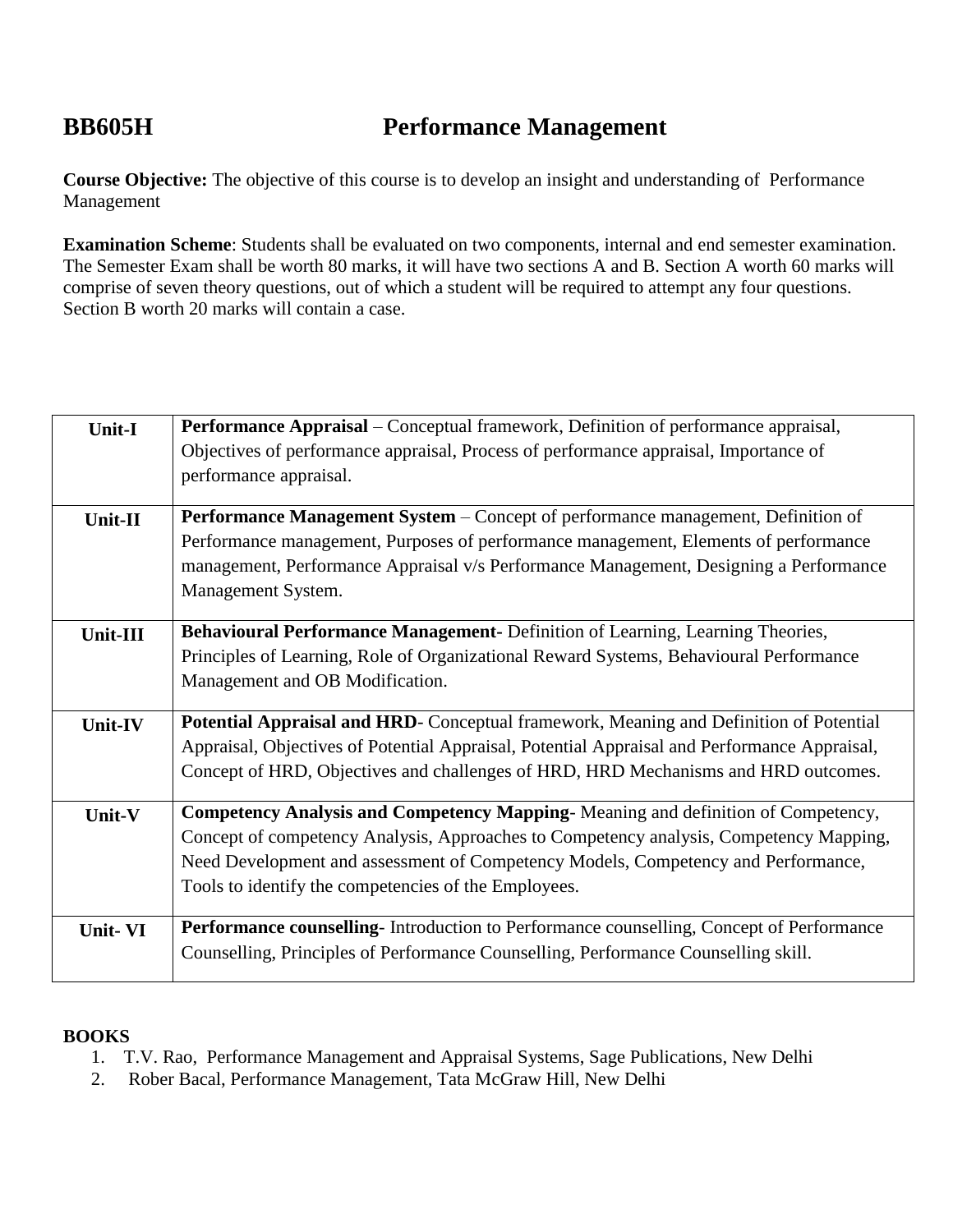# **BB605H Performance Management**

**Course Objective:** The objective of this course is to develop an insight and understanding of Performance Management

**Examination Scheme**: Students shall be evaluated on two components, internal and end semester examination. The Semester Exam shall be worth 80 marks, it will have two sections A and B. Section A worth 60 marks will comprise of seven theory questions, out of which a student will be required to attempt any four questions. Section B worth 20 marks will contain a case.

| Unit-I         | <b>Performance Appraisal</b> – Conceptual framework, Definition of performance appraisal,    |
|----------------|----------------------------------------------------------------------------------------------|
|                | Objectives of performance appraisal, Process of performance appraisal, Importance of         |
|                | performance appraisal.                                                                       |
|                |                                                                                              |
| Unit-II        | Performance Management System - Concept of performance management, Definition of             |
|                | Performance management, Purposes of performance management, Elements of performance          |
|                | management, Performance Appraisal v/s Performance Management, Designing a Performance        |
|                | Management System.                                                                           |
|                |                                                                                              |
| Unit-III       | Behavioural Performance Management- Definition of Learning, Learning Theories,               |
|                | Principles of Learning, Role of Organizational Reward Systems, Behavioural Performance       |
|                | Management and OB Modification.                                                              |
|                |                                                                                              |
| <b>Unit-IV</b> | Potential Appraisal and HRD- Conceptual framework, Meaning and Definition of Potential       |
|                | Appraisal, Objectives of Potential Appraisal, Potential Appraisal and Performance Appraisal, |
|                | Concept of HRD, Objectives and challenges of HRD, HRD Mechanisms and HRD outcomes.           |
| Unit-V         | Competency Analysis and Competency Mapping-Meaning and definition of Competency,             |
|                | Concept of competency Analysis, Approaches to Competency analysis, Competency Mapping,       |
|                | Need Development and assessment of Competency Models, Competency and Performance,            |
|                | Tools to identify the competencies of the Employees.                                         |
|                |                                                                                              |
| Unit-VI        | Performance counselling-Introduction to Performance counselling, Concept of Performance      |
|                | Counselling, Principles of Performance Counselling, Performance Counselling skill.           |
|                |                                                                                              |

- 1. T.V. Rao, Performance Management and Appraisal Systems, Sage Publications, New Delhi
- 2. Rober Bacal, Performance Management, Tata McGraw Hill, New Delhi